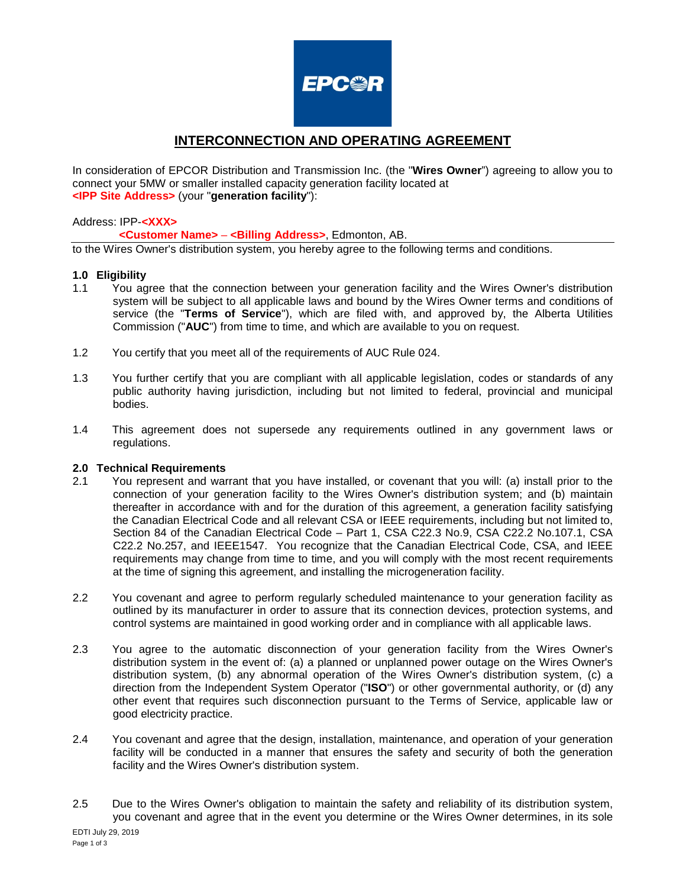

## **INTERCONNECTION AND OPERATING AGREEMENT**

In consideration of EPCOR Distribution and Transmission Inc. (the "**Wires Owner**") agreeing to allow you to connect your 5MW or smaller installed capacity generation facility located at **<IPP Site Address>** (your "**generation facility**"):

## Address: IPP-**<XXX>**

**<Customer Name>** – **<Billing Address>**, Edmonton, AB.

to the Wires Owner's distribution system, you hereby agree to the following terms and conditions.

## **1.0 Eligibility**

- 1.1 You agree that the connection between your generation facility and the Wires Owner's distribution system will be subject to all applicable laws and bound by the Wires Owner terms and conditions of service (the "**Terms of Service**"), which are filed with, and approved by, the Alberta Utilities Commission ("**AUC**") from time to time, and which are available to you on request.
- 1.2 You certify that you meet all of the requirements of AUC Rule 024.
- 1.3 You further certify that you are compliant with all applicable legislation, codes or standards of any public authority having jurisdiction, including but not limited to federal, provincial and municipal bodies.
- 1.4 This agreement does not supersede any requirements outlined in any government laws or regulations.

# **2.0 Technical Requirements**

- You represent and warrant that you have installed, or covenant that you will: (a) install prior to the connection of your generation facility to the Wires Owner's distribution system; and (b) maintain thereafter in accordance with and for the duration of this agreement, a generation facility satisfying the Canadian Electrical Code and all relevant CSA or IEEE requirements, including but not limited to, Section 84 of the Canadian Electrical Code – Part 1, CSA C22.3 No.9, CSA C22.2 No.107.1, CSA C22.2 No.257, and IEEE1547. You recognize that the Canadian Electrical Code, CSA, and IEEE requirements may change from time to time, and you will comply with the most recent requirements at the time of signing this agreement, and installing the microgeneration facility.
- 2.2 You covenant and agree to perform regularly scheduled maintenance to your generation facility as outlined by its manufacturer in order to assure that its connection devices, protection systems, and control systems are maintained in good working order and in compliance with all applicable laws.
- 2.3 You agree to the automatic disconnection of your generation facility from the Wires Owner's distribution system in the event of: (a) a planned or unplanned power outage on the Wires Owner's distribution system, (b) any abnormal operation of the Wires Owner's distribution system, (c) a direction from the Independent System Operator ("**ISO**") or other governmental authority, or (d) any other event that requires such disconnection pursuant to the Terms of Service, applicable law or good electricity practice.
- 2.4 You covenant and agree that the design, installation, maintenance, and operation of your generation facility will be conducted in a manner that ensures the safety and security of both the generation facility and the Wires Owner's distribution system.
- 2.5 Due to the Wires Owner's obligation to maintain the safety and reliability of its distribution system, you covenant and agree that in the event you determine or the Wires Owner determines, in its sole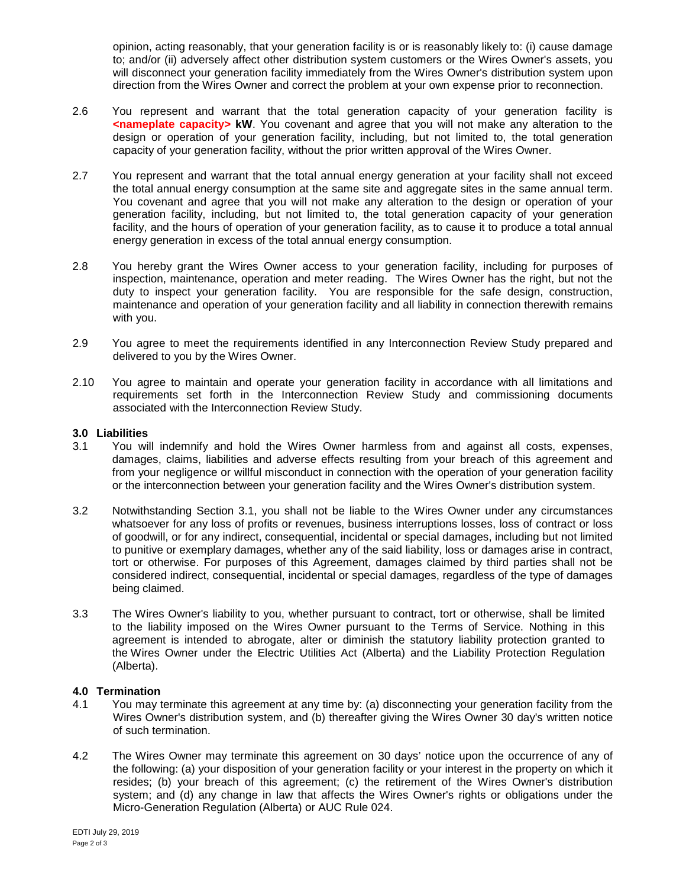opinion, acting reasonably, that your generation facility is or is reasonably likely to: (i) cause damage to; and/or (ii) adversely affect other distribution system customers or the Wires Owner's assets, you will disconnect your generation facility immediately from the Wires Owner's distribution system upon direction from the Wires Owner and correct the problem at your own expense prior to reconnection.

- 2.6 You represent and warrant that the total generation capacity of your generation facility is **<nameplate capacity> kW**. You covenant and agree that you will not make any alteration to the design or operation of your generation facility, including, but not limited to, the total generation capacity of your generation facility, without the prior written approval of the Wires Owner.
- 2.7 You represent and warrant that the total annual energy generation at your facility shall not exceed the total annual energy consumption at the same site and aggregate sites in the same annual term. You covenant and agree that you will not make any alteration to the design or operation of your generation facility, including, but not limited to, the total generation capacity of your generation facility, and the hours of operation of your generation facility, as to cause it to produce a total annual energy generation in excess of the total annual energy consumption.
- 2.8 You hereby grant the Wires Owner access to your generation facility, including for purposes of inspection, maintenance, operation and meter reading. The Wires Owner has the right, but not the duty to inspect your generation facility. You are responsible for the safe design, construction, maintenance and operation of your generation facility and all liability in connection therewith remains with you.
- 2.9 You agree to meet the requirements identified in any Interconnection Review Study prepared and delivered to you by the Wires Owner.
- 2.10 You agree to maintain and operate your generation facility in accordance with all limitations and requirements set forth in the Interconnection Review Study and commissioning documents associated with the Interconnection Review Study.

## **3.0 Liabilities**

- 3.1 You will indemnify and hold the Wires Owner harmless from and against all costs, expenses, damages, claims, liabilities and adverse effects resulting from your breach of this agreement and from your negligence or willful misconduct in connection with the operation of your generation facility or the interconnection between your generation facility and the Wires Owner's distribution system.
- 3.2 Notwithstanding Section 3.1, you shall not be liable to the Wires Owner under any circumstances whatsoever for any loss of profits or revenues, business interruptions losses, loss of contract or loss of goodwill, or for any indirect, consequential, incidental or special damages, including but not limited to punitive or exemplary damages, whether any of the said liability, loss or damages arise in contract, tort or otherwise. For purposes of this Agreement, damages claimed by third parties shall not be considered indirect, consequential, incidental or special damages, regardless of the type of damages being claimed.
- 3.3 The Wires Owner's liability to you, whether pursuant to contract, tort or otherwise, shall be limited to the liability imposed on the Wires Owner pursuant to the Terms of Service. Nothing in this agreement is intended to abrogate, alter or diminish the statutory liability protection granted to the Wires Owner under the Electric Utilities Act (Alberta) and the Liability Protection Regulation (Alberta).

## **4.0 Termination**

- 4.1 You may terminate this agreement at any time by: (a) disconnecting your generation facility from the Wires Owner's distribution system, and (b) thereafter giving the Wires Owner 30 day's written notice of such termination.
- 4.2 The Wires Owner may terminate this agreement on 30 days' notice upon the occurrence of any of the following: (a) your disposition of your generation facility or your interest in the property on which it resides; (b) your breach of this agreement; (c) the retirement of the Wires Owner's distribution system; and (d) any change in law that affects the Wires Owner's rights or obligations under the Micro-Generation Regulation (Alberta) or AUC Rule 024.